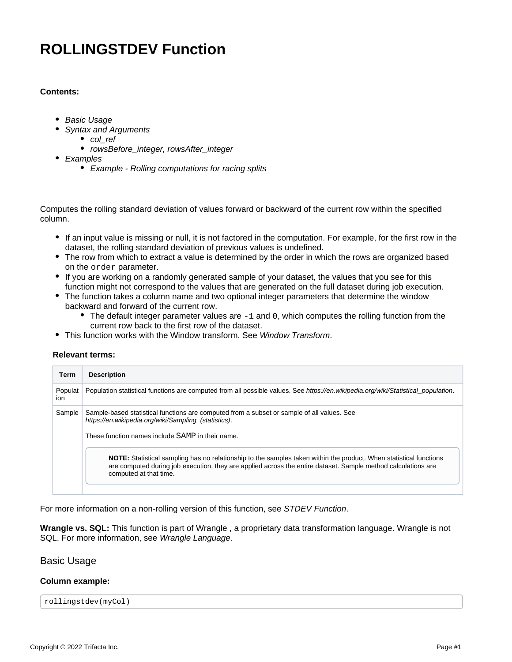# **ROLLINGSTDEV Function**

## **Contents:**

- [Basic Usage](#page-0-0)
- [Syntax and Arguments](#page-1-0)
	- col ref
	- [rowsBefore\\_integer, rowsAfter\\_integer](#page-1-2)
- [Examples](#page-2-0)
	- [Example Rolling computations for racing splits](#page-2-1)

Computes the rolling standard deviation of values forward or backward of the current row within the specified column.

- If an input value is missing or null, it is not factored in the computation. For example, for the first row in the dataset, the rolling standard deviation of previous values is undefined.
- The row from which to extract a value is determined by the order in which the rows are organized based on the order parameter.
- If you are working on a randomly generated sample of your dataset, the values that you see for this function might not correspond to the values that are generated on the full dataset during job execution.
- The function takes a column name and two optional integer parameters that determine the window backward and forward of the current row.
	- $\bullet$  The default integer parameter values are  $-1$  and 0, which computes the rolling function from the current row back to the first row of the dataset.
- This function works with the Window transform. See [Window Transform](https://docs.trifacta.com/display/AWS/Window+Transform).

#### **Relevant terms:**

| Term           | <b>Description</b>                                                                                                                                                                                                                                            |
|----------------|---------------------------------------------------------------------------------------------------------------------------------------------------------------------------------------------------------------------------------------------------------------|
| Populat<br>ion | Population statistical functions are computed from all possible values. See https://en.wikipedia.org/wiki/Statistical_population.                                                                                                                             |
| Sample         | Sample-based statistical functions are computed from a subset or sample of all values. See<br>https://en.wikipedia.org/wiki/Sampling (statistics).<br>These function names include SAMP in their name.                                                        |
|                | NOTE: Statistical sampling has no relationship to the samples taken within the product. When statistical functions<br>are computed during job execution, they are applied across the entire dataset. Sample method calculations are<br>computed at that time. |

For more information on a non-rolling version of this function, see [STDEV Function](https://docs.trifacta.com/display/AWS/STDEV+Function).

**Wrangle vs. SQL:** This function is part of Wrangle , a proprietary data transformation language. Wrangle is not SQL. For more information, see [Wrangle Language](https://docs.trifacta.com/display/AWS/Wrangle+Language).

## <span id="page-0-0"></span>Basic Usage

#### **Column example:**

rollingstdev(myCol)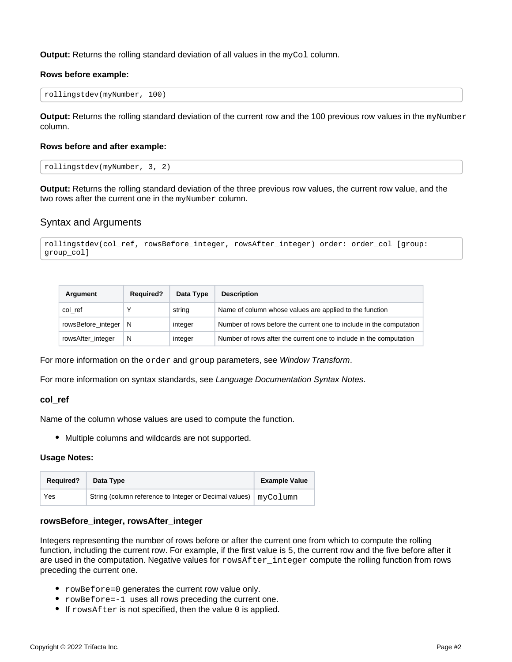**Output:** Returns the rolling standard deviation of all values in the myCol column.

#### **Rows before example:**

```
rollingstdev(myNumber, 100)
```
**Output:** Returns the rolling standard deviation of the current row and the 100 previous row values in the myNumber column.

#### **Rows before and after example:**

```
rollingstdev(myNumber, 3, 2)
```
**Output:** Returns the rolling standard deviation of the three previous row values, the current row value, and the two rows after the current one in the myNumber column.

# <span id="page-1-0"></span>Syntax and Arguments

```
rollingstdev(col_ref, rowsBefore_integer, rowsAfter_integer) order: order_col [group: 
group_col]
```

| Argument           | <b>Required?</b> | Data Type | <b>Description</b>                                                  |
|--------------------|------------------|-----------|---------------------------------------------------------------------|
| col ref            |                  | string    | Name of column whose values are applied to the function             |
| rowsBefore integer | -N               | integer   | Number of rows before the current one to include in the computation |
| rowsAfter_integer  | N                | integer   | Number of rows after the current one to include in the computation  |

For more information on the order and group parameters, see [Window Transform](https://docs.trifacta.com/display/AWS/Window+Transform).

For more information on syntax standards, see [Language Documentation Syntax Notes](https://docs.trifacta.com/display/AWS/Language+Documentation+Syntax+Notes).

#### <span id="page-1-1"></span>**col\_ref**

Name of the column whose values are used to compute the function.

Multiple columns and wildcards are not supported.

#### **Usage Notes:**

| <b>Required?</b> | Data Type                                                         | <b>Example Value</b> |
|------------------|-------------------------------------------------------------------|----------------------|
| Yes              | String (column reference to Integer or Decimal values)   myColumn |                      |

#### <span id="page-1-2"></span>**rowsBefore\_integer, rowsAfter\_integer**

Integers representing the number of rows before or after the current one from which to compute the rolling function, including the current row. For example, if the first value is 5, the current row and the five before after it are used in the computation. Negative values for rowsAfter\_integer compute the rolling function from rows preceding the current one.

- rowBefore=0 generates the current row value only.
- rowBefore=-1 uses all rows preceding the current one.
- $\bullet$  If rowsAfter is not specified, then the value 0 is applied.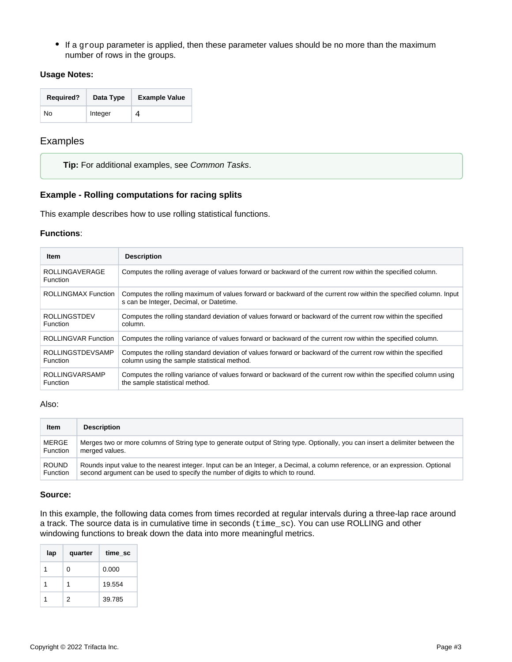If a group parameter is applied, then these parameter values should be no more than the maximum number of rows in the groups.

#### **Usage Notes:**

| <b>Required?</b> | Data Type | <b>Example Value</b> |
|------------------|-----------|----------------------|
| No               | Integer   |                      |

# <span id="page-2-0"></span>Examples

**Tip:** For additional examples, see [Common Tasks](https://docs.trifacta.com/display/AWS/Common+Tasks).

#### <span id="page-2-1"></span>**Example - Rolling computations for racing splits**

This example describes how to use rolling statistical functions.

#### **Functions**:

| <b>Item</b>                                | <b>Description</b>                                                                                                                                           |
|--------------------------------------------|--------------------------------------------------------------------------------------------------------------------------------------------------------------|
| <b>ROLLINGAVERAGE</b><br><b>Function</b>   | Computes the rolling average of values forward or backward of the current row within the specified column.                                                   |
| <b>ROLLINGMAX Function</b>                 | Computes the rolling maximum of values forward or backward of the current row within the specified column. Input<br>s can be Integer, Decimal, or Datetime.  |
| <b>ROLLINGSTDEV</b><br><b>Function</b>     | Computes the rolling standard deviation of values forward or backward of the current row within the specified<br>column.                                     |
| <b>ROLLINGVAR Function</b>                 | Computes the rolling variance of values forward or backward of the current row within the specified column.                                                  |
| <b>ROLLINGSTDEVSAMP</b><br><b>Function</b> | Computes the rolling standard deviation of values forward or backward of the current row within the specified<br>column using the sample statistical method. |
| <b>ROLLINGVARSAMP</b><br><b>Function</b>   | Computes the rolling variance of values forward or backward of the current row within the specified column using<br>the sample statistical method.           |

#### Also:

| <b>Item</b>  | <b>Description</b>                                                                                                              |
|--------------|---------------------------------------------------------------------------------------------------------------------------------|
| <b>MERGE</b> | Merges two or more columns of String type to generate output of String type. Optionally, you can insert a delimiter between the |
| Function     | merged values.                                                                                                                  |
| <b>ROUND</b> | Rounds input value to the nearest integer. Input can be an Integer, a Decimal, a column reference, or an expression. Optional   |
| Function     | second argument can be used to specify the number of digits to which to round.                                                  |

#### **Source:**

In this example, the following data comes from times recorded at regular intervals during a three-lap race around a track. The source data is in cumulative time in seconds (time\_sc). You can use ROLLING and other windowing functions to break down the data into more meaningful metrics.

| lap | quarter | time_sc |
|-----|---------|---------|
|     | 0       | 0.000   |
|     |         | 19.554  |
|     | 2       | 39.785  |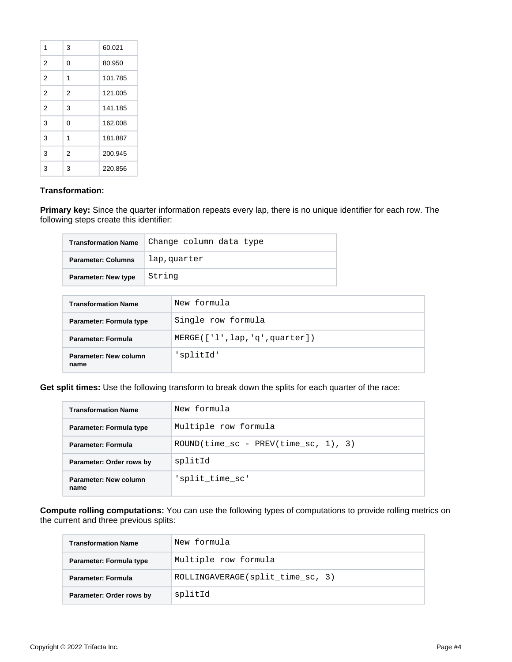| 1              | 3              | 60.021  |
|----------------|----------------|---------|
| 2              | 0              | 80.950  |
| $\overline{2}$ | 1              | 101.785 |
| $\overline{2}$ | $\overline{2}$ | 121.005 |
| $\overline{2}$ | 3              | 141.185 |
| 3              | 0              | 162.008 |
| 3              | 1              | 181.887 |
| 3              | 2              | 200.945 |
| 3              | 3              | 220.856 |

### **Transformation:**

**Primary key:** Since the quarter information repeats every lap, there is no unique identifier for each row. The following steps create this identifier:

| <b>Transformation Name</b> | Change column data type |
|----------------------------|-------------------------|
| <b>Parameter: Columns</b>  | lap, quarter            |
| <b>Parameter: New type</b> | String                  |

| <b>Transformation Name</b>    | New formula                  |
|-------------------------------|------------------------------|
| Parameter: Formula type       | Single row formula           |
| <b>Parameter: Formula</b>     | MERGE([1', lap,'q',quarter]) |
| Parameter: New column<br>name | splitId'                     |

**Get split times:** Use the following transform to break down the splits for each quarter of the race:

| <b>Transformation Name</b>    | New formula                            |
|-------------------------------|----------------------------------------|
| Parameter: Formula type       | Multiple row formula                   |
| Parameter: Formula            | $ROUND(time_sc - PREV(time_sc, 1), 3)$ |
| Parameter: Order rows by      | splitId                                |
| Parameter: New column<br>name | 'split time sc'                        |

**Compute rolling computations:** You can use the following types of computations to provide rolling metrics on the current and three previous splits:

| <b>Transformation Name</b> | New formula                      |
|----------------------------|----------------------------------|
| Parameter: Formula type    | Multiple row formula             |
| <b>Parameter: Formula</b>  | ROLLINGAVERAGE(split_time_sc, 3) |
| Parameter: Order rows by   | splitId                          |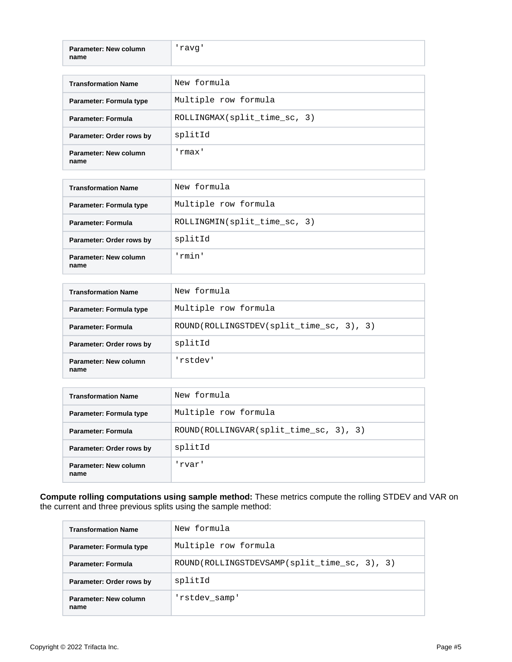| <b>Parameter: New column</b> | 'ravq' |
|------------------------------|--------|
| name                         |        |

| <b>Transformation Name</b>    | New formula                  |
|-------------------------------|------------------------------|
| Parameter: Formula type       | Multiple row formula         |
| Parameter: Formula            | ROLLINGMAX(split_time_sc, 3) |
| Parameter: Order rows by      | splitId                      |
| Parameter: New column<br>name | 'rmax'                       |

| <b>Transformation Name</b>    | New formula                  |  |  |
|-------------------------------|------------------------------|--|--|
| Parameter: Formula type       | Multiple row formula         |  |  |
| Parameter: Formula            | ROLLINGMIN(split time sc, 3) |  |  |
| Parameter: Order rows by      | splitId                      |  |  |
| Parameter: New column<br>name | 'rmin'                       |  |  |

| <b>Transformation Name</b>    | New formula                              |
|-------------------------------|------------------------------------------|
| Parameter: Formula type       | Multiple row formula                     |
| <b>Parameter: Formula</b>     | ROUND(ROLLINGSTDEV(split time sc, 3), 3) |
| Parameter: Order rows by      | splitId                                  |
| Parameter: New column<br>name | 'rstdev'                                 |

| <b>Transformation Name</b>    | New formula                            |  |  |  |
|-------------------------------|----------------------------------------|--|--|--|
| Parameter: Formula type       | Multiple row formula                   |  |  |  |
| Parameter: Formula            | ROUND(ROLLINGVAR(split time sc, 3), 3) |  |  |  |
| Parameter: Order rows by      | splitId                                |  |  |  |
| Parameter: New column<br>name | 'rvar'                                 |  |  |  |

**Compute rolling computations using sample method:** These metrics compute the rolling STDEV and VAR on the current and three previous splits using the sample method:

| <b>Transformation Name</b>    | New formula                                  |
|-------------------------------|----------------------------------------------|
| Parameter: Formula type       | Multiple row formula                         |
| Parameter: Formula            | ROUND(ROLLINGSTDEVSAMP(split_time_sc, 3), 3) |
| Parameter: Order rows by      | splitId                                      |
| Parameter: New column<br>name | 'rstdev samp'                                |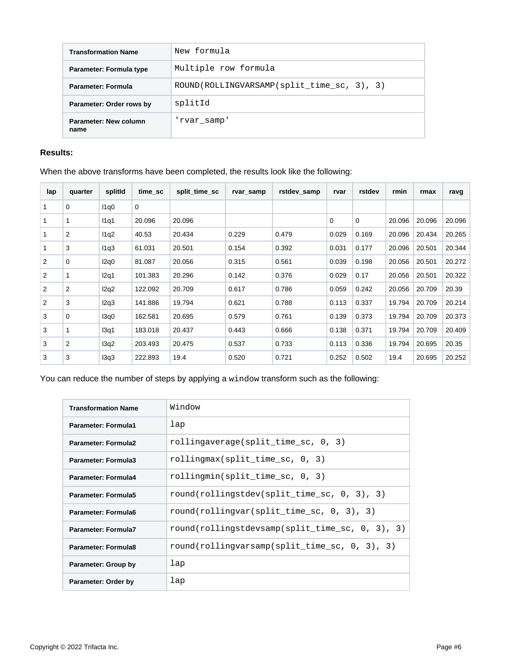| <b>Transformation Name</b>    | New formula                                |  |  |  |
|-------------------------------|--------------------------------------------|--|--|--|
| Parameter: Formula type       | Multiple row formula                       |  |  |  |
| <b>Parameter: Formula</b>     | ROUND(ROLLINGVARSAMP(split time sc, 3), 3) |  |  |  |
| Parameter: Order rows by      | splitId                                    |  |  |  |
| Parameter: New column<br>name | 'rvar samp'                                |  |  |  |

# **Results:**

# When the above transforms have been completed, the results look like the following:

| lap | quarter        | splitld | time sc | split time sc | rvar_samp | rstdev samp | rvar  | rstdev      | rmin   | rmax   | ravg   |
|-----|----------------|---------|---------|---------------|-----------|-------------|-------|-------------|--------|--------|--------|
|     | 0              | 11q0    | 0       |               |           |             |       |             |        |        |        |
|     |                | 11q1    | 20.096  | 20.096        |           |             | 0     | $\mathbf 0$ | 20.096 | 20.096 | 20.096 |
|     | 2              | 11q2    | 40.53   | 20.434        | 0.229     | 0.479       | 0.029 | 0.169       | 20.096 | 20.434 | 20.265 |
|     | 3              | 11q3    | 61.031  | 20.501        | 0.154     | 0.392       | 0.031 | 0.177       | 20.096 | 20.501 | 20.344 |
| 2   | 0              | 12q0    | 81.087  | 20.056        | 0.315     | 0.561       | 0.039 | 0.198       | 20.056 | 20.501 | 20.272 |
| 2   |                | 12q1    | 101.383 | 20.296        | 0.142     | 0.376       | 0.029 | 0.17        | 20.056 | 20.501 | 20.322 |
| 2   | 2              | 12q2    | 122.092 | 20.709        | 0.617     | 0.786       | 0.059 | 0.242       | 20.056 | 20.709 | 20.39  |
| 2   | 3              | 12q3    | 141.886 | 19.794        | 0.621     | 0.788       | 0.113 | 0.337       | 19.794 | 20.709 | 20.214 |
| 3   | 0              | 13q0    | 162.581 | 20.695        | 0.579     | 0.761       | 0.139 | 0.373       | 19.794 | 20.709 | 20.373 |
| 3   |                | 13q1    | 183.018 | 20.437        | 0.443     | 0.666       | 0.138 | 0.371       | 19.794 | 20.709 | 20.409 |
| 3   | $\overline{2}$ | 13q2    | 203.493 | 20.475        | 0.537     | 0.733       | 0.113 | 0.336       | 19.794 | 20.695 | 20.35  |
| 3   | 3              | 13q3    | 222.893 | 19.4          | 0.520     | 0.721       | 0.252 | 0.502       | 19.4   | 20.695 | 20.252 |

You can reduce the number of steps by applying a window transform such as the following:

| <b>Transformation Name</b> | Window                                           |
|----------------------------|--------------------------------------------------|
| Parameter: Formula1        | lap                                              |
| <b>Parameter: Formula2</b> | rollingaverage(split_time_sc, 0, 3)              |
| Parameter: Formula3        | rolling max (split time sc, $0, 3$ )             |
| <b>Parameter: Formula4</b> | rollingmin(split time sc, 0, 3)                  |
| Parameter: Formula5        | $round(rollingstdev(split time sc, 0, 3), 3)$    |
| Parameter: Formula6        | $round(rollingvar(split time sc, 0, 3), 3)$      |
| <b>Parameter: Formula7</b> | round(rollingstdevsamp(split_time_sc, 0, 3), 3)  |
| Parameter: Formula8        | round(rollingvarsamp(split time sc, $0, 3$ ), 3) |
| Parameter: Group by        | lap                                              |
| Parameter: Order by        | $_{\text{lap}}$                                  |